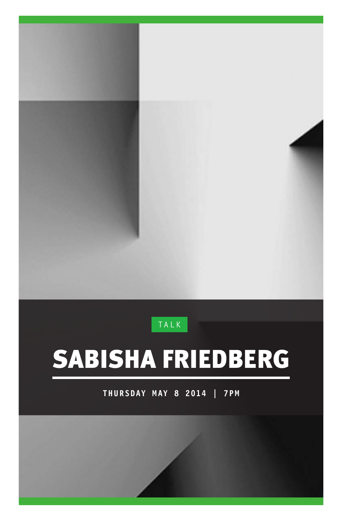### **TALK**

# SABISHA FRIEDBERG

**THURSDAY MAY 8 2014 | 7PM**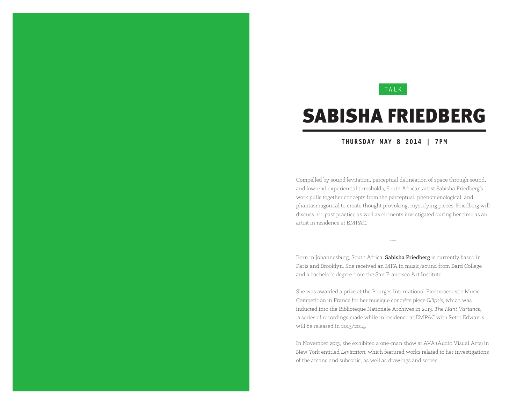### **TALK**

## SABISHA FRIEDBERG

#### **THURSDAY MAY 8 2014 | 7PM**

Compelled by sound levitation, perceptual delineation of space through sound, and low-end experiential thresholds, South African artist Sabisha Friedberg's work pulls together concepts from the perceptual, phenomenological, and phantasmagorical to create thought provoking, mystifying pieces. Friedberg will discuss her past practice as well as elements investigated during her time as an artist in residence at EMPAC.

---

Born in Johannesburg, South Africa, Sabisha Friedberg is currently based in Paris and Brooklyn. She received an MFA in music/sound from Bard College and a bachelor's degree from the San Francisco Art Institute.

She was awarded a prize at the Bourges International Electroacoustic Music Competition in France for her musique concrète piece *Ellipsis*, which was inducted into the Biblioteque Nationale Archives in 2013. *The Hant Variance*, a series of recordings made while in residence at EMPAC with Peter Edwards will be released in 2013/2014.

In November 2013, she exhibited a one-man show at AVA (Audio Visual Arts) in New York entitled *Levitation*, which featured works related to her investigations of the arcane and subsonic, as well as drawings and scores.